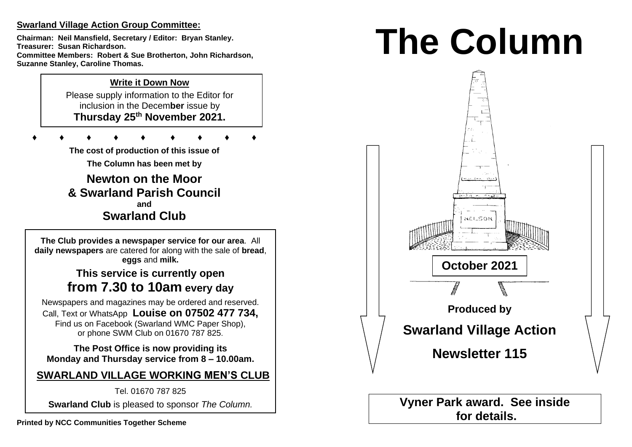## **Swarland Village Action Group Committee:**

**Chairman: Neil Mansfield, Secretary / Editor: Bryan Stanley. Treasurer: Susan Richardson. Committee Members: Robert & Sue Brotherton, John Richardson, Suzanne Stanley, Caroline Thomas.** 

## **Write it Down Now**

Please supply information to the Editor for inclusion in the Decem**ber** issue by **Thursday 25 th November 2021.** 

**♦ ♦ ♦ ♦ ♦ ♦ ♦ ♦ ♦**

**The cost of production of this issue of** 

**The Column has been met by**

**Newton on the Moor & Swarland Parish Council and Swarland Club**

**The Club provides a newspaper service for our area**. All **daily newspapers** are catered for along with the sale of **bread**, **eggs** and **milk.**

# **This service is currently open from 7.30 to 10am every day**

Newspapers and magazines may be ordered and reserved. Call, Text or WhatsApp **Louise on 07502 477 734,**  Find us on Facebook (Swarland WMC Paper Shop), or phone SWM Club on 01670 787 825.

**The Post Office is now providing its Monday and Thursday service from 8 – 10.00am.** 

# **SWARLAND VILLAGE WORKING MEN'S CLUB**

Tel. 01670 787 825

**Swarland Club** is pleased to sponsor *The Column.*

# **The Column**



**for details.**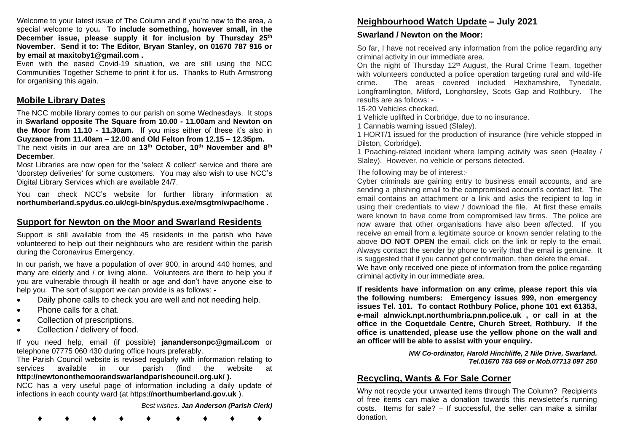Welcome to your latest issue of The Column and if you're new to the area, a special welcome to you**. To include something, however small, in the December issue, please supply it for inclusion by Thursday 25 th November. Send it to: The Editor, Bryan Stanley, on 01670 787 916 or by email at maxitoby1@gmail.com .**

Even with the eased Covid-19 situation, we are still using the NCC Communities Together Scheme to print it for us. Thanks to Ruth Armstrong for organising this again.

#### **Mobile Library Dates**

The NCC mobile library comes to our parish on some Wednesdays. It stops in **Swarland opposite The Square from 10.00 - 11.00am** and **Newton on the Moor from 11.10 - 11.30am.** If you miss either of these it's also in **Guyzance from 11.40am – 12.00 and Old Felton from 12.15 – 12.35pm.**  The next visits in our area are on **13th October, 10th November and 8th December**.

Most Libraries are now open for the 'select & collect' service and there are 'doorstep deliveries' for some customers. You may also wish to use NCC's Digital Library Services which are available 24/7.

You can check NCC's website for further library information at **northumberland.spydus.co.uk/cgi-bin/spydus.exe/msgtrn/wpac/home .**

#### **Support for Newton on the Moor and Swarland Residents**

Support is still available from the 45 residents in the parish who have volunteered to help out their neighbours who are resident within the parish during the Coronavirus Emergency.

In our parish, we have a population of over 900, in around 440 homes, and many are elderly and / or living alone. Volunteers are there to help you if you are vulnerable through ill health or age and don't have anyone else to help you. The sort of support we can provide is as follows: -

- Daily phone calls to check you are well and not needing help.
- Phone calls for a chat.
- Collection of prescriptions.
- Collection / delivery of food.

If you need help, email (if possible) **janandersonpc@gmail.com** or telephone 07775 060 430 during office hours preferably.

The Parish Council website is revised regularly with information relating to services available in our parish (find the website at **http://newtononthemoorandswarlandparishcouncil.org.uk/ ).**

NCC has a very useful page of information including a daily update of infections in each county ward (at https:**//northumberland.gov.uk** ).

*Best wishes, Jan Anderson (Parish Clerk)*

**♦ ♦ ♦ ♦ ♦ ♦ ♦ ♦ ♦**

## **Neighbourhood Watch Update – July 2021**

#### **Swarland / Newton on the Moor:**

So far, I have not received any information from the police regarding any criminal activity in our immediate area.

On the night of Thursday 12<sup>th</sup> August, the Rural Crime Team, together with volunteers conducted a police operation targeting rural and wild-life crime. The areas covered included Hexhamshire, Tynedale, Longframlington, Mitford, Longhorsley, Scots Gap and Rothbury. The results are as follows: -

15-20 Vehicles checked.

1 Vehicle uplifted in Corbridge, due to no insurance.

1 Cannabis warning issued (Slaley).

1 HORT/1 issued for the production of insurance (hire vehicle stopped in Dilston, Corbridge).

1 Poaching-related incident where lamping activity was seen (Healey / Slaley). However, no vehicle or persons detected.

The following may be of interest:-

Cyber criminals are gaining entry to business email accounts, and are sending a phishing email to the compromised account's contact list. The email contains an attachment or a link and asks the recipient to log in using their credentials to view / download the file. At first these emails were known to have come from compromised law firms. The police are now aware that other organisations have also been affected. If you receive an email from a legitimate source or known sender relating to the above **DO NOT OPEN** the email, click on the link or reply to the email. Always contact the sender by phone to verify that the email is genuine. It is suggested that if you cannot get confirmation, then delete the email. We have only received one piece of information from the police regarding criminal activity in our immediate area.

**If residents have information on any crime, please report this via the following numbers: Emergency issues 999, non emergency issues Tel. 101. To contact Rothbury Police, phone 101 ext 61353, e-mail alnwick.npt.northumbria.pnn.police.uk , or call in at the office in the Coquetdale Centre, Church Street, Rothbury. If the office is unattended, please use the yellow phone on the wall and an officer will be able to assist with your enquiry.** 

> *NW Co-ordinator, Harold Hinchliffe, 2 Nile Drive, Swarland. Tel.01670 783 669 or Mob.07713 097 250*

## **Recycling, Wants & For Sale Corner**

Why not recycle your unwanted items through The Column? Recipients of free items can make a donation towards this newsletter's running costs. Items for sale? – If successful, the seller can make a similar donation.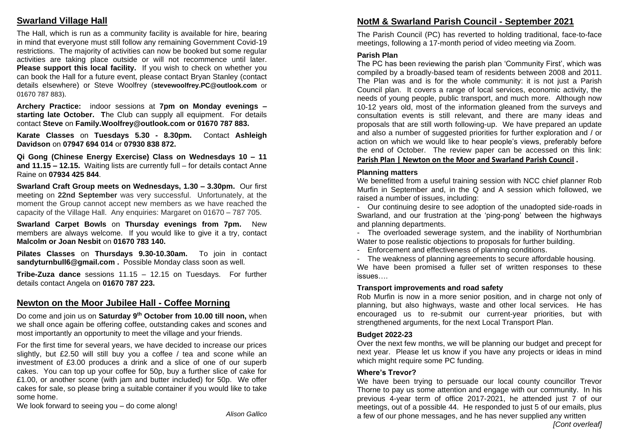## **Swarland Village Hall**

The Hall, which is run as a community facility is available for hire, bearing in mind that everyone must still follow any remaining Government Covid-19 restrictions. The majority of activities can now be booked but some regular activities are taking place outside or will not recommence until later. **Please support this local facility.** If you wish to check on whether you can book the Hall for a future event, please contact Bryan Stanley (contact details elsewhere) or Steve Woolfrey (**stevewoolfrey.PC@outlook.com** or 01670 787 883).

**Archery Practice:** indoor sessions at **7pm on Monday evenings – starting late October. T**he Club can supply all equipment. For details contact **Steve** on **Family.Woolfrey@outlook.com or 01670 787 883.** 

**Karate Classes** on **Tuesdays 5.30 - 8.30pm.** Contact **Ashleigh Davidson** on **07947 694 014** or **07930 838 872.** 

**Qi Gong (Chinese Energy Exercise) Class on Wednesdays 10 – 11 and 11.15 – 12.15.** Waiting lists are currently full – for details contact Anne Raine on **07934 425 844**.

**Swarland Craft Group meets on Wednesdays, 1.30 – 3.30pm.** Our first meeting on **22nd September** was very successful. Unfortunately, at the moment the Group cannot accept new members as we have reached the capacity of the Village Hall. Any enquiries: Margaret on 01670 – 787 705.

**Swarland Carpet Bowls** on **Thursday evenings from 7pm.** New members are always welcome. If you would like to give it a try, contact **Malcolm or Joan Nesbit** on **01670 783 140.** 

**Pilates Classes** on **Thursdays 9.30-10.30am.** To join in contact **sandyturnbull6@gmail.com .** Possible Monday class soon as well.

**Tribe-Zuza dance** sessions 11.15 – 12.15 on Tuesdays. For further details contact Angela on **01670 787 223.** 

## **Newton on the Moor Jubilee Hall - Coffee Morning**

Do come and join us on **Saturday 9th October from 10.00 till noon,** when we shall once again be offering coffee, outstanding cakes and scones and most importantly an opportunity to meet the village and your friends.

For the first time for several years, we have decided to increase our prices slightly, but £2.50 will still buy you a coffee / tea and scone while an investment of £3.00 produces a drink and a slice of one of our superb cakes. You can top up your coffee for 50p, buy a further slice of cake for £1.00, or another scone (with jam and butter included) for 50p. We offer cakes for sale, so please bring a suitable container if you would like to take some home.

We look forward to seeing you – do come along!

*Alison Gallico*

## **NotM & Swarland Parish Council - September 2021**

The Parish Council (PC) has reverted to holding traditional, face-to-face meetings, following a 17-month period of video meeting via Zoom.

#### **Parish Plan**

The PC has been reviewing the parish plan 'Community First', which was compiled by a broadly-based team of residents between 2008 and 2011. The Plan was and is for the whole community: it is not just a Parish Council plan. It covers a range of local services, economic activity, the needs of young people, public transport, and much more. Although now 10-12 years old, most of the information gleaned from the surveys and consultation events is still relevant, and there are many ideas and proposals that are still worth following-up. We have prepared an update and also a number of suggested priorities for further exploration and / or action on which we would like to hear people's views, preferably before the end of October. The review paper can be accessed on this link: **Parish Plan | Newton on the Moor and Swarland Parish Council .**

#### **Planning matters**

We benefitted from a useful training session with NCC chief planner Rob Murfin in September and, in the Q and A session which followed, we raised a number of issues, including:

- Our continuing desire to see adoption of the unadopted side-roads in Swarland, and our frustration at the 'ping-pong' between the highways and planning departments.

- The overloaded sewerage system, and the inability of Northumbrian Water to pose realistic objections to proposals for further building.

- Enforcement and effectiveness of planning conditions.

- The weakness of planning agreements to secure affordable housing.

We have been promised a fuller set of written responses to these issues….

#### **Transport improvements and road safety**

Rob Murfin is now in a more senior position, and in charge not only of planning, but also highways, waste and other local services. He has encouraged us to re-submit our current-year priorities, but with strengthened arguments, for the next Local Transport Plan.

#### **Budget 2022-23**

Over the next few months, we will be planning our budget and precept for next year. Please let us know if you have any projects or ideas in mind which might require some PC funding.

#### **Where's Trevor?**

We have been trying to persuade our local county councillor Trevor Thorne to pay us some attention and engage with our community. In his previous 4-year term of office 2017-2021, he attended just 7 of our meetings, out of a possible 44. He responded to just 5 of our emails, plus a few of our phone messages, and he has never supplied any written

*[Cont overleaf]*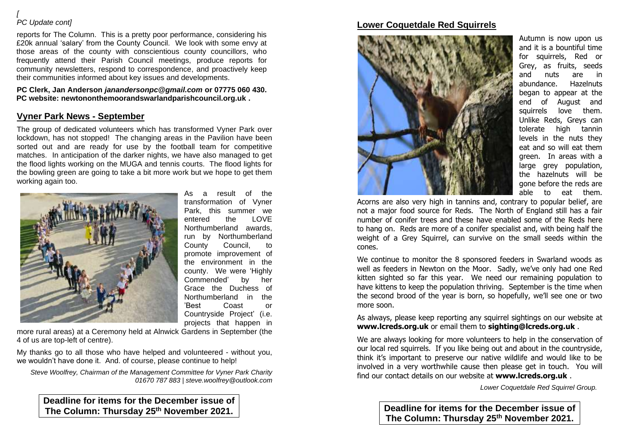#### *[ PC Update cont]*

reports for The Column. This is a pretty poor performance, considering his £20k annual 'salary' from the County Council. We look with some envy at those areas of the county with conscientious county councillors, who frequently attend their Parish Council meetings, produce reports for community newsletters, respond to correspondence, and proactively keep their communities informed about key issues and developments.

**PC Clerk, Jan Anderson** *janandersonpc@gmail.com* **or 07775 060 430. PC website: newtononthemoorandswarlandparishcouncil.org.uk .** 

## **Vyner Park News - September**

The group of dedicated volunteers which has transformed Vyner Park over lockdown, has not stopped! The changing areas in the Pavilion have been sorted out and are ready for use by the football team for competitive matches. In anticipation of the darker nights, we have also managed to get the flood lights working on the MUGA and tennis courts. The flood lights for the bowling green are going to take a bit more work but we hope to get them working again too.



As a result of the transformation of Vyner Park, this summer we entered the LOVE Northumberland awards, run by Northumberland County Council, to promote improvement of the environment in the county. We were 'Highly Commended' by her Grace the Duchess of Northumberland in the 'Best Coast or Countryside Project' (i.e. projects that happen in

more rural areas) at a Ceremony held at Alnwick Gardens in September (the 4 of us are top-left of centre).

My thanks go to all those who have helped and volunteered - without you, we wouldn't have done it. And. of course, please continue to help!

*Steve Woolfrey, Chairman of the Management Committee for Vyner Park Charity 01670 787 883 | steve.woolfrey@outlook.com*

**Deadline for items for the December issue of The Column: Thursday 25 th November 2021.**

## **Lower Coquetdale Red Squirrels**



Autumn is now upon us and it is a bountiful time for squirrels, Red or Grey, as fruits, seeds and nuts are in abundance. Hazelnuts began to appear at the end of August and squirrels love them. Unlike Reds, Greys can tolerate high tannin levels in the nuts they eat and so will eat them green. In areas with a large grey population, the hazelnuts will be gone before the reds are able to eat them.

Acorns are also very high in tannins and, contrary to popular belief, are not a major food source for Reds. The North of England still has a fair number of conifer trees and these have enabled some of the Reds here to hang on. Reds are more of a conifer specialist and, with being half the weight of a Grey Squirrel, can survive on the small seeds within the cones.

We continue to monitor the 8 sponsored feeders in Swarland woods as well as feeders in Newton on the Moor. Sadly, we've only had one Red kitten sighted so far this year. We need our remaining population to have kittens to keep the population thriving. September is the time when the second brood of the year is born, so hopefully, we'll see one or two more soon.

As always, please keep reporting any squirrel sightings on our website at **www.lcreds.org.uk** or email them to **sighting@lcreds.org.uk** .

We are always looking for more volunteers to help in the conservation of our local red squirrels. If you like being out and about in the countryside, think it's important to preserve our native wildlife and would like to be involved in a very worthwhile cause then please get in touch. You will find our contact details on our website at **www.lcreds.org.uk** .

*Lower Coquetdale Red Squirrel Group.*

**Deadline for items for the December issue of The Column: Thursday 25 th November 2021.**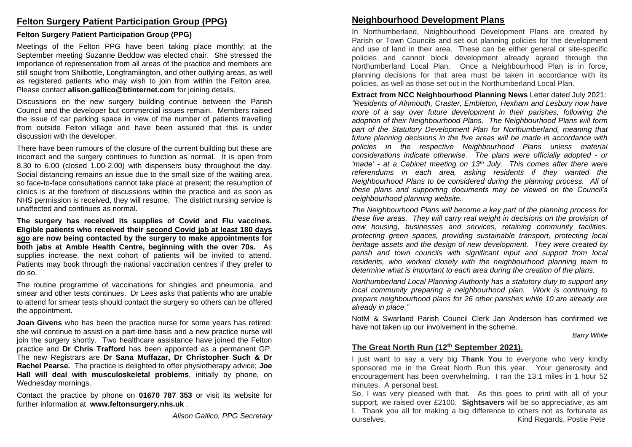### **Felton Surgery Patient Participation Group (PPG)**

## **Felton Surgery Patient Participation Group (PPG)**

Meetings of the Felton PPG have been taking place monthly; at the September meeting Suzanne Beddow was elected chair. She stressed the importance of representation from all areas of the practice and members are still sought from Shilbottle, Longframlington, and other outlying areas, as well as registered patients who may wish to join from within the Felton area. Please contact **alison.gallico@btinternet.com** for joining details.

Discussions on the new surgery building continue between the Parish Council and the developer but commercial issues remain. Members raised the issue of car parking space in view of the number of patients travelling from outside Felton village and have been assured that this is under discussion with the developer.

There have been rumours of the closure of the current building but these are incorrect and the surgery continues to function as normal. It is open from 8.30 to 6.00 (closed 1.00-2.00) with dispensers busy throughout the day. Social distancing remains an issue due to the small size of the waiting area, so face-to-face consultations cannot take place at present; the resumption of clinics is at the forefront of discussions within the practice and as soon as NHS permission is received, they will resume. The district nursing service is unaffected and continues as normal.

**The surgery has received its supplies of Covid and Flu vaccines. Eligible patients who received their second Covid jab at least 180 days ago are now being contacted by the surgery to make appointments for both jabs at Amble Health Centre, beginning with the over 70s.** As supplies increase, the next cohort of patients will be invited to attend. Patients may book through the national vaccination centres if they prefer to do so.

The routine programme of vaccinations for shingles and pneumonia, and smear and other tests continues. Dr Lees asks that patients who are unable to attend for smear tests should contact the surgery so others can be offered the appointment.

**Joan Givens** who has been the practice nurse for some years has retired; she will continue to assist on a part-time basis and a new practice nurse will join the surgery shortly. Two healthcare assistance have joined the Felton practice and **Dr Chris Trafford** has been appointed as a permanent GP. The new Registrars are **Dr Sana Muffazar, Dr Christopher Such & Dr Rachel Pearse.** The practice is delighted to offer physiotherapy advice; **Joe Hall will deal with musculoskeletal problems**, initially by phone, on Wednesday mornings.

Contact the practice by phone on **01670 787 353** or visit its website for further information at **www.feltonsurgery.nhs.uk** .

*Alison Gallico, PPG Secretary*

# **Neighbourhood Development Plans**

In Northumberland, Neighbourhood Development Plans are created by Parish or Town Councils and set out planning policies for the development and use of land in their area. These can be either general or site-specific policies and cannot block development already agreed through the Northumberland Local Plan. Once a Neighbourhood Plan is in force, planning decisions for that area must be taken in accordance with its policies, as well as those set out in the Northumberland Local Plan.

**Extract from NCC Neighbourhood Planning News** Letter dated July 2021: *"Residents of Alnmouth, Craster, Embleton, Hexham and Lesbury now have more of a say over future development in their parishes, following the adoption of their Neighbourhood Plans. The Neighbourhood Plans will form part of the Statutory Development Plan for Northumberland, meaning that future planning decisions in the five areas will be made in accordance with policies in the respective Neighbourhood Plans unless material considerations indicate otherwise. The plans were officially adopted - or 'made' - at a Cabinet meeting on 13 th July. This comes after there were referendums in each area, asking residents if they wanted the Neighbourhood Plans to be considered during the planning process. All of these plans and supporting documents may be viewed on the Council's neighbourhood planning website.* 

*The Neighbourhood Plans will become a key part of the planning process for these five areas. They will carry real weight in decisions on the provision of new housing, businesses and services, retaining community facilities, protecting green spaces, providing sustainable transport, protecting local heritage assets and the design of new development. They were created by parish and town councils with significant input and support from local residents, who worked closely with the neighbourhood planning team to determine what is important to each area during the creation of the plans.* 

*Northumberland Local Planning Authority has a statutory duty to support any local community preparing a neighbourhood plan. Work is continuing to prepare neighbourhood plans for 26 other parishes while 10 are already are already in place."* 

NotM & Swarland Parish Council Clerk Jan Anderson has confirmed we have not taken up our involvement in the scheme.

*Barry White*

## **The Great North Run (12th September 2021).**

I just want to say a very big **Thank You** to everyone who very kindly sponsored me in the Great North Run this year. Your generosity and encouragement has been overwhelming. I ran the 13.1 miles in 1 hour 52 minutes. A personal best.

So, I was very pleased with that. As this goes to print with all of your support, we raised over £2100. **Sightsavers** will be so appreciative, as am I. Thank you all for making a big difference to others not as fortunate as ourselves. Kind Regards, Postie Pete